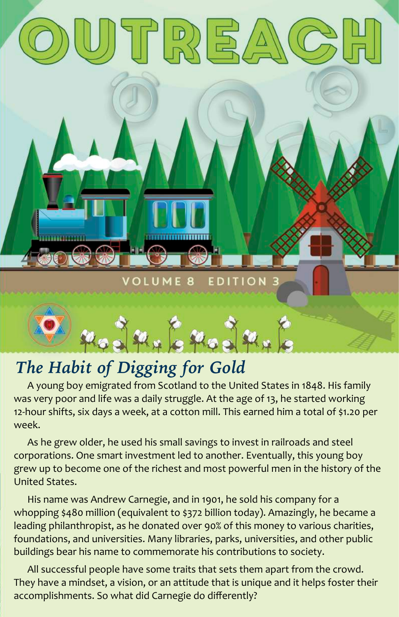

#### *The Habit of Digging for Gold*

A young boy emigrated from Scotland to the United States in 1848. His family was very poor and life was a daily struggle. At the age of 13, he started working 12-hour shifts, six days a week, at a cotton mill. This earned him a total of \$1.20 per week.

As he grew older, he used his small savings to invest in railroads and steel corporations. One smart investment led to another. Eventually, this young boy grew up to become one of the richest and most powerful men in the history of the United States.

His name was Andrew Carnegie, and in 1901, he sold his company for a whopping \$480 million (equivalent to \$372 billion today). Amazingly, he became a leading philanthropist, as he donated over 90% of this money to various charities, foundations, and universities. Many libraries, parks, universities, and other public buildings bear his name to commemorate his contributions to society.

All successful people have some traits that sets them apart from the crowd. They have a mindset, a vision, or an attitude that is unique and it helps foster their accomplishments. So what did Carnegie do differently?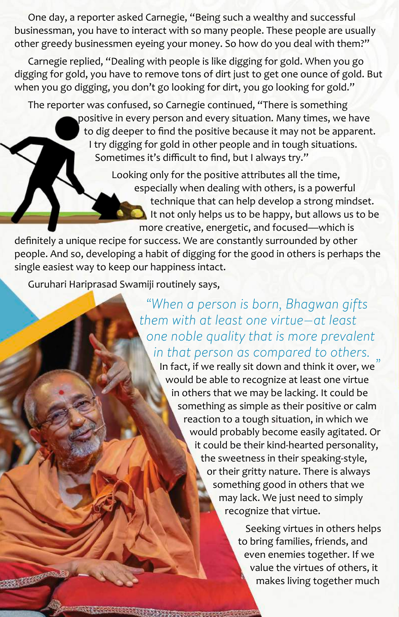One day, a reporter asked Carnegie, "Being such a wealthy and successful businessman, you have to interact with so many people. These people are usually other greedy businessmen eyeing your money. So how do you deal with them?"

Carnegie replied, "Dealing with people is like digging for gold. When you go digging for gold, you have to remove tons of dirt just to get one ounce of gold. But when you go digging, you don't go looking for dirt, you go looking for gold."

The reporter was confused, so Carnegie continued, "There is something positive in every person and every situation. Many times, we have to dig deeper to find the positive because it may not be apparent. I try digging for gold in other people and in tough situations. Sometimes it's difficult to find, but I always try."

> Looking only for the positive attributes all the time, especially when dealing with others, is a powerful technique that can help develop a strong mindset. It not only helps us to be happy, but allows us to be more creative, energetic, and focused—which is

definitely a unique recipe for success. We are constantly surrounded by other people. And so, developing a habit of digging for the good in others is perhaps the single easiest way to keep our happiness intact.

Guruhari Hariprasad Swamiji routinely says,

*"When a person is born, Bhagwan gifts them with at least one virtue—at least one noble quality that is more prevalent in that person as compared to others.*

In fact, if we really sit down and think it over, we *"*would be able to recognize at least one virtue in others that we may be lacking. It could be something as simple as their positive or calm reaction to a tough situation, in which we would probably become easily agitated. Or it could be their kind-hearted personality, the sweetness in their speaking-style, or their gritty nature. There is always something good in others that we may lack. We just need to simply recognize that virtue.

> Seeking virtues in others helps to bring families, friends, and even enemies together. If we value the virtues of others, it makes living together much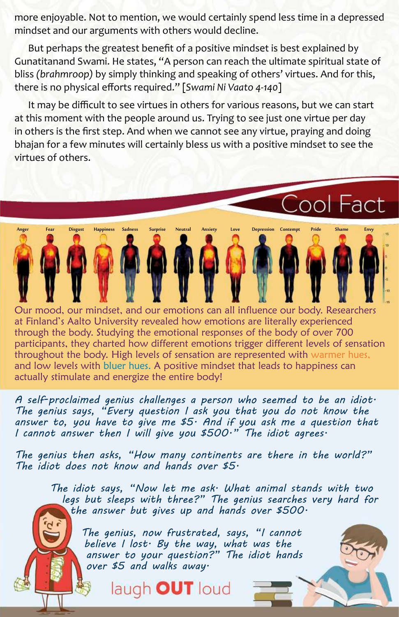more enjoyable. Not to mention, we would certainly spend less time in a depressed mindset and our arguments with others would decline.

But perhaps the greatest benefit of a positive mindset is best explained by Gunatitanand Swami. He states, "A person can reach the ultimate spiritual state of bliss *(brahmroop)* by simply thinking and speaking of others' virtues. And for this, there is no physical efforts required." [*Swami Ni Vaato 4-140*]

It may be difficult to see virtues in others for various reasons, but we can start at this moment with the people around us. Trying to see just one virtue per day in others is the first step. And when we cannot see any virtue, praying and doing bhajan for a few minutes will certainly bless us with a positive mindset to see the virtues of others.

Anger Fear Disgust Happiness Sadness Surprise Neutral Anxiety Love Depression Contempt Pride Shame Envy

Cool Fact

Our mood, our mindset, and our emotions can all influence our body. Researchers at Finland's Aalto University revealed how emotions are literally experienced through the body. Studying the emotional responses of the body of over 700 participants, they charted how different emotions trigger different levels of sensation throughout the body. High levels of sensation are represented with warmer hues, and low levels with bluer hues. A positive mindset that leads to happiness can actually stimulate and energize the entire body!

*A self-proclaimed genius challenges a person who seemed to be an idiot. The genius says, "Every question I ask you that you do not know the answer to, you have to give me \$5. And if you ask me a question that I cannot answer then I will give you \$500." The idiot agrees.* 

*The genius then asks, "How many continents are there in the world?" The idiot does not know and hands over \$5.* 

*The idiot says, "Now let me ask. What animal stands with two legs but sleeps with three?" The genius searches very hard for the answer but gives up and hands over \$500.*

*The genius, now frustrated, says, "I cannot believe I lost. By the way, what was the answer to your question?" The idiot hands over \$5 and walks away.*

laugh OUT loud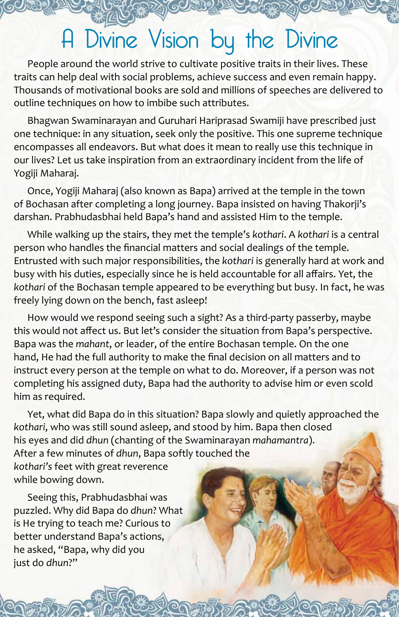### A Divine Vision by the Divine

People around the world strive to cultivate positive traits in their lives. These traits can help deal with social problems, achieve success and even remain happy. Thousands of motivational books are sold and millions of speeches are delivered to outline techniques on how to imbibe such attributes.

Bhagwan Swaminarayan and Guruhari Hariprasad Swamiji have prescribed just one technique: in any situation, seek only the positive. This one supreme technique encompasses all endeavors. But what does it mean to really use this technique in our lives? Let us take inspiration from an extraordinary incident from the life of Yogiji Maharaj.

Once, Yogiji Maharaj (also known as Bapa) arrived at the temple in the town of Bochasan after completing a long journey. Bapa insisted on having Thakorji's darshan. Prabhudasbhai held Bapa's hand and assisted Him to the temple.

While walking up the stairs, they met the temple's *kothari*. A *kothari* is a central person who handles the financial matters and social dealings of the temple. Entrusted with such major responsibilities, the *kothari* is generally hard at work and busy with his duties, especially since he is held accountable for all affairs. Yet, the *kothari* of the Bochasan temple appeared to be everything but busy. In fact, he was freely lying down on the bench, fast asleep!

How would we respond seeing such a sight? As a third-party passerby, maybe this would not affect us. But let's consider the situation from Bapa's perspective. Bapa was the *mahant*, or leader, of the entire Bochasan temple. On the one hand, He had the full authority to make the final decision on all matters and to instruct every person at the temple on what to do. Moreover, if a person was not completing his assigned duty, Bapa had the authority to advise him or even scold him as required.

Yet, what did Bapa do in this situation? Bapa slowly and quietly approached the *kothari*, who was still sound asleep, and stood by him. Bapa then closed his eyes and did *dhun* (chanting of the Swaminarayan *mahamantra*). After a few minutes of *dhun*, Bapa softly touched the *kothari's* feet with great reverence while bowing down.

Seeing this, Prabhudasbhai was puzzled. Why did Bapa do *dhun*? What is He trying to teach me? Curious to better understand Bapa's actions, he asked, "Bapa, why did you just do *dhun*?"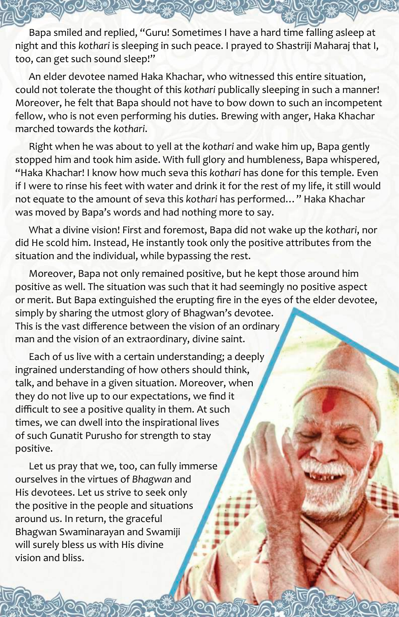Bapa smiled and replied, "Guru! Sometimes I have a hard time falling asleep at night and this *kothari* is sleeping in such peace. I prayed to Shastriji Maharaj that I, too, can get such sound sleep!"

An elder devotee named Haka Khachar, who witnessed this entire situation, could not tolerate the thought of this *kothari* publically sleeping in such a manner! Moreover, he felt that Bapa should not have to bow down to such an incompetent fellow, who is not even performing his duties. Brewing with anger, Haka Khachar marched towards the *kothari*.

Right when he was about to yell at the *kothari* and wake him up, Bapa gently stopped him and took him aside. With full glory and humbleness, Bapa whispered, "Haka Khachar! I know how much seva this *kothari* has done for this temple. Even if I were to rinse his feet with water and drink it for the rest of my life, it still would not equate to the amount of seva this *kothari* has performed…" Haka Khachar was moved by Bapa's words and had nothing more to say.

What a divine vision! First and foremost, Bapa did not wake up the *kothari*, nor did He scold him. Instead, He instantly took only the positive attributes from the situation and the individual, while bypassing the rest.

Moreover, Bapa not only remained positive, but he kept those around him positive as well. The situation was such that it had seemingly no positive aspect or merit. But Bapa extinguished the erupting fire in the eyes of the elder devotee, simply by sharing the utmost glory of Bhagwan's devotee. This is the vast difference between the vision of an ordinary man and the vision of an extraordinary, divine saint.

Each of us live with a certain understanding; a deeply ingrained understanding of how others should think, talk, and behave in a given situation. Moreover, when they do not live up to our expectations, we find it difficult to see a positive quality in them. At such times, we can dwell into the inspirational lives of such Gunatit Purusho for strength to stay positive.

Let us pray that we, too, can fully immerse ourselves in the virtues of *Bhagwan* and His devotees. Let us strive to seek only the positive in the people and situations around us. In return, the graceful Bhagwan Swaminarayan and Swamiji will surely bless us with His divine vision and bliss.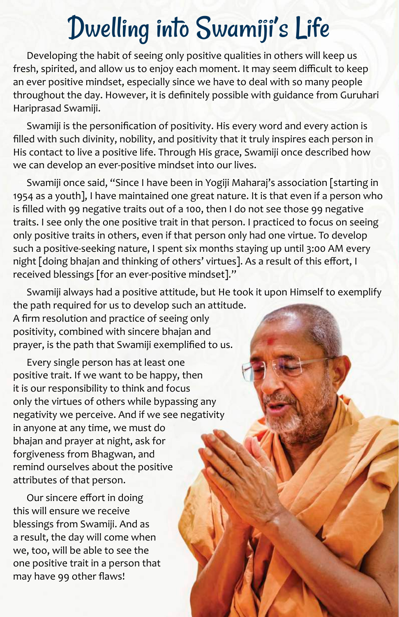# Dwelling into Swamiji's Life

Developing the habit of seeing only positive qualities in others will keep us fresh, spirited, and allow us to enjoy each moment. It may seem difficult to keep an ever positive mindset, especially since we have to deal with so many people throughout the day. However, it is definitely possible with guidance from Guruhari Hariprasad Swamiji.

Swamiji is the personification of positivity. His every word and every action is filled with such divinity, nobility, and positivity that it truly inspires each person in His contact to live a positive life. Through His grace, Swamiji once described how we can develop an ever-positive mindset into our lives.

Swamiji once said, "Since I have been in Yogiji Maharaj's association [starting in 1954 as a youth], I have maintained one great nature. It is that even if a person who is filled with 99 negative traits out of a 100, then I do not see those 99 negative traits. I see only the one positive trait in that person. I practiced to focus on seeing only positive traits in others, even if that person only had one virtue. To develop such a positive-seeking nature, I spent six months staying up until 3:00 AM every night [doing bhajan and thinking of others' virtues]. As a result of this effort, I received blessings [for an ever-positive mindset]."

Swamiji always had a positive attitude, but He took it upon Himself to exemplify the path required for us to develop such an attitude.

A firm resolution and practice of seeing only positivity, combined with sincere bhajan and prayer, is the path that Swamiji exemplified to us.

Every single person has at least one positive trait. If we want to be happy, then it is our responsibility to think and focus only the virtues of others while bypassing any negativity we perceive. And if we see negativity in anyone at any time, we must do bhajan and prayer at night, ask for forgiveness from Bhagwan, and remind ourselves about the positive attributes of that person.

Our sincere effort in doing this will ensure we receive blessings from Swamiji. And as a result, the day will come when we, too, will be able to see the one positive trait in a person that may have 99 other flaws!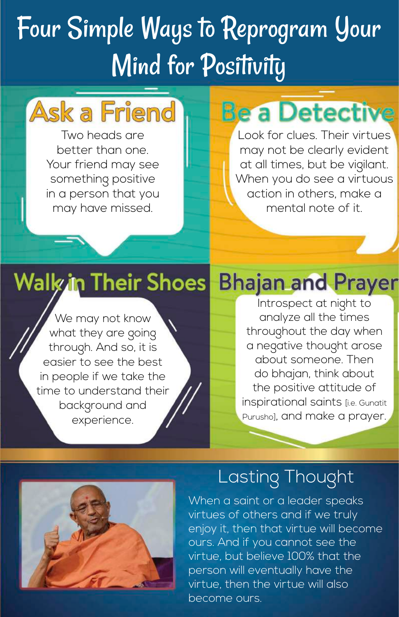# Four Simple Ways to Reprogram Your Mind for Positivity

## **Ask a Friend**

Two heads are better than one. Your friend may see something positive in a person that you may have missed.

## **Be a Detective**

Look for clues. Their virtues may not be clearly evident at all times, but be vigilant. When you do see a virtuous action in others, make a mental note of it.

### **Walk in Their Shoes**

We may not know what they are going through. And so, it is easier to see the best in people if we take the time to understand their background and experience.

### **Bhajan and Prayer**

Introspect at night to analyze all the times throughout the day when a negative thought arose about someone. Then do bhajan, think about the positive attitude of inspirational saints [i.e. Gunatit Purusho], and make a prayer.



#### Lasting Thought

When a saint or a leader speaks virtues of others and if we truly enjoy it, then that virtue will become ours. And if you cannot see the virtue, but believe 100% that the person will eventually have the virtue, then the virtue will also become ours.